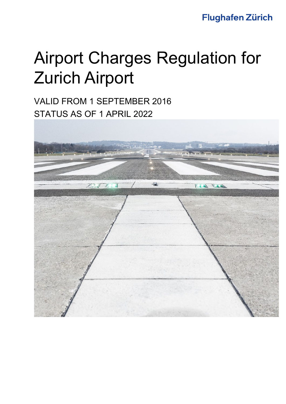# **Flughafen Zürich**

# Airport Charges Regulation for Zurich Airport

VALID FROM 1 SEPTEMBER 2016 STATUS AS OF 1 APRIL 2022

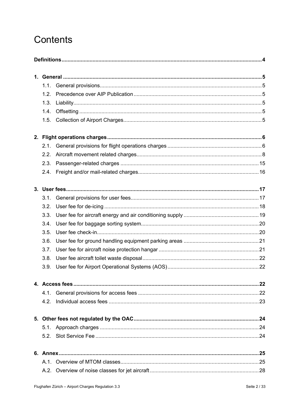# Contents

| 1.1. |  |
|------|--|
| 1.2. |  |
| 1.3. |  |
| 1.4. |  |
| 1.5. |  |
|      |  |
| 2.1. |  |
| 2.2. |  |
| 2.3. |  |
| 2.4. |  |
|      |  |
| 3.1. |  |
| 3.2. |  |
| 3.3. |  |
| 3.4. |  |
| 3.5. |  |
| 3.6. |  |
| 3.7. |  |
| 3.8. |  |
| 3.9. |  |
|      |  |
|      |  |
|      |  |
|      |  |
|      |  |
|      |  |
|      |  |
|      |  |
|      |  |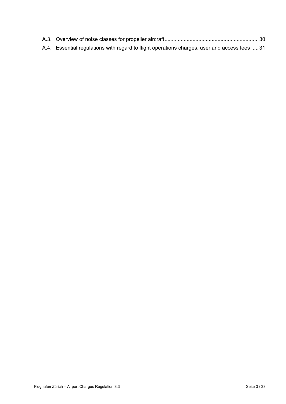| A.4. Essential regulations with regard to flight operations charges, user and access fees  31 |  |
|-----------------------------------------------------------------------------------------------|--|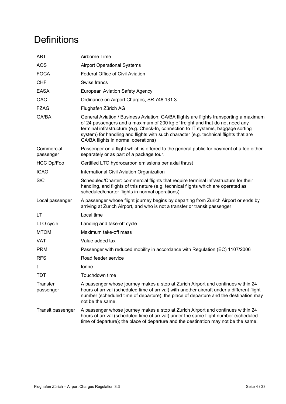# <span id="page-3-0"></span>**Definitions**

| <b>ABT</b>              | Airborne Time                                                                                                                                                                                                                                                                                                                                                                               |
|-------------------------|---------------------------------------------------------------------------------------------------------------------------------------------------------------------------------------------------------------------------------------------------------------------------------------------------------------------------------------------------------------------------------------------|
| <b>AOS</b>              | <b>Airport Operational Systems</b>                                                                                                                                                                                                                                                                                                                                                          |
| <b>FOCA</b>             | Federal Office of Civil Aviation                                                                                                                                                                                                                                                                                                                                                            |
| <b>CHF</b>              | Swiss francs                                                                                                                                                                                                                                                                                                                                                                                |
| <b>EASA</b>             | <b>European Aviation Safety Agency</b>                                                                                                                                                                                                                                                                                                                                                      |
| OAC                     | Ordinance on Airport Charges, SR 748.131.3                                                                                                                                                                                                                                                                                                                                                  |
| <b>FZAG</b>             | Flughafen Zürich AG                                                                                                                                                                                                                                                                                                                                                                         |
| GA/BA                   | General Aviation / Business Aviation: GA/BA flights are flights transporting a maximum<br>of 24 passengers and a maximum of 200 kg of freight and that do not need any<br>terminal infrastructure (e.g. Check-In, connection to IT systems, baggage sorting<br>system) for handling and flights with such character (e.g. technical flights that are<br>GA/BA flights in normal operations) |
| Commercial<br>passenger | Passenger on a flight which is offered to the general public for payment of a fee either<br>separately or as part of a package tour.                                                                                                                                                                                                                                                        |
| HCC Dp/Foo              | Certified LTO hydrocarbon emissions per axial thrust                                                                                                                                                                                                                                                                                                                                        |
| <b>ICAO</b>             | International Civil Aviation Organization                                                                                                                                                                                                                                                                                                                                                   |
| S/C                     | Scheduled/Charter: commercial flights that require terminal infrastructure for their<br>handling, and flights of this nature (e.g. technical flights which are operated as<br>scheduled/charter flights in normal operations).                                                                                                                                                              |
| Local passenger         | A passenger whose flight journey begins by departing from Zurich Airport or ends by<br>arriving at Zurich Airport, and who is not a transfer or transit passenger                                                                                                                                                                                                                           |
| LT                      | Local time                                                                                                                                                                                                                                                                                                                                                                                  |
| LTO cycle               | Landing and take-off cycle                                                                                                                                                                                                                                                                                                                                                                  |
| <b>MTOM</b>             | Maximum take-off mass                                                                                                                                                                                                                                                                                                                                                                       |
| VAT                     | Value added tax                                                                                                                                                                                                                                                                                                                                                                             |
| <b>PRM</b>              | Passenger with reduced mobility in accordance with Regulation (EC) 1107/2006                                                                                                                                                                                                                                                                                                                |
| <b>RFS</b>              | Road feeder service                                                                                                                                                                                                                                                                                                                                                                         |
| t                       | tonne                                                                                                                                                                                                                                                                                                                                                                                       |
| TDT                     | Touchdown time                                                                                                                                                                                                                                                                                                                                                                              |
| Transfer<br>passenger   | A passenger whose journey makes a stop at Zurich Airport and continues within 24<br>hours of arrival (scheduled time of arrival) with another aircraft under a different flight<br>number (scheduled time of departure); the place of departure and the destination may<br>not be the same.                                                                                                 |
| Transit passenger       | A passenger whose journey makes a stop at Zurich Airport and continues within 24<br>hours of arrival (scheduled time of arrival) under the same flight number (scheduled<br>time of departure); the place of departure and the destination may not be the same.                                                                                                                             |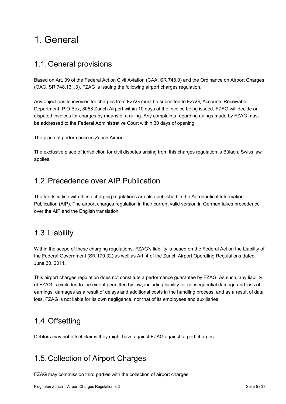# <span id="page-4-0"></span>1. General

# <span id="page-4-1"></span>1.1.General provisions

Based on Art. 39 of the Federal Act on Civil Aviation (CAA, SR 748.0) and the Ordinance on Airport Charges (OAC, SR 748.131.3), FZAG is issuing the following airport charges regulation.

Any objections to invoices for charges from FZAG must be submitted to FZAG, Accounts Receivable Department, P.O Box, 8058 Zurich Airport within 10 days of the invoice being issued. FZAG will decide on disputed invoices for charges by means of a ruling. Any complaints regarding rulings made by FZAG must be addressed to the Federal Administrative Court within 30 days of opening.

The place of performance is Zurich Airport.

The exclusive place of jurisdiction for civil disputes arising from this charges regulation is Bülach. Swiss law applies.

# <span id="page-4-2"></span>1.2.Precedence over AIP Publication

The tariffs in line with these charging regulations are also published in the Aeronautical Information Publication (AIP). The airport charges regulation in their current valid version in German takes precedence over the AIP and the English translation.

# <span id="page-4-3"></span>1.3.Liability

Within the scope of these charging regulations, FZAG's liability is based on the Federal Act on the Liability of the Federal Government (SR 170.32) as well as Art. 4 of the Zurich Airport Operating Regulations dated June 30, 2011.

This airport charges regulation does not constitute a performance guarantee by FZAG. As such, any liability of FZAG is excluded to the extent permitted by law, including liability for consequential damage and loss of earnings, damages as a result of delays and additional costs in the handling process, and as a result of data loss. FZAG is not liable for its own negligence, nor that of its employees and auxiliaries.

# <span id="page-4-4"></span>1.4.Offsetting

Debtors may not offset claims they might have against FZAG against airport charges.

# <span id="page-4-5"></span>1.5.Collection of Airport Charges

FZAG may commission third parties with the collection of airport charges.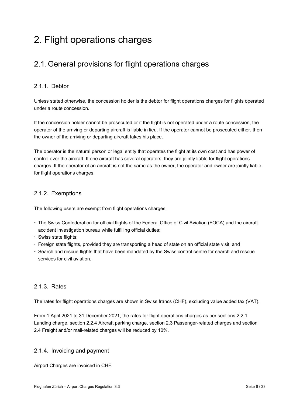# <span id="page-5-0"></span>2. Flight operations charges

# <span id="page-5-1"></span>2.1.General provisions for flight operations charges

### <span id="page-5-2"></span>2.1.1. Debtor

Unless stated otherwise, the concession holder is the debtor for flight operations charges for flights operated under a route concession.

If the concession holder cannot be prosecuted or if the flight is not operated under a route concession, the operator of the arriving or departing aircraft is liable in lieu. If the operator cannot be prosecuted either, then the owner of the arriving or departing aircraft takes his place.

The operator is the natural person or legal entity that operates the flight at its own cost and has power of control over the aircraft. If one aircraft has several operators, they are jointly liable for flight operations charges. If the operator of an aircraft is not the same as the owner, the operator and owner are jointly liable for flight operations charges.

### 2.1.2. Exemptions

The following users are exempt from flight operations charges:

- The Swiss Confederation for official flights of the Federal Office of Civil Aviation (FOCA) and the aircraft accident investigation bureau while fulfilling official duties;
- Swiss state flights;
- Foreign state flights, provided they are transporting a head of state on an official state visit, and
- Search and rescue flights that have been mandated by the Swiss control centre for search and rescue services for civil aviation.

### 2.1.3. Rates

The rates for flight operations charges are shown in Swiss francs (CHF), excluding value added tax (VAT).

From 1 April 2021 to 31 December 2021, the rates for flight operations charges as per sections [2.2.1](#page-7-1) [Landing charge,](#page-7-1) section [2.2.4](#page-12-0) [Aircraft parking charge,](#page-12-0) section [2.3](#page-14-0) [Passenger-related charges](#page-14-0) and section [2.4](#page-15-0) [Freight and/or mail-related charges](#page-15-0) will be reduced by 10%.

### <span id="page-5-3"></span>2.1.4. Invoicing and payment

Airport Charges are invoiced in CHF.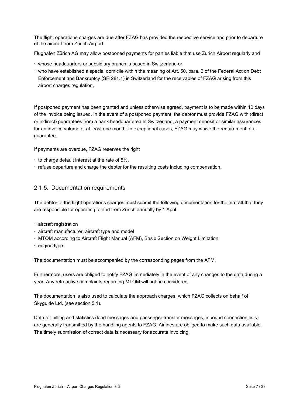The flight operations charges are due after FZAG has provided the respective service and prior to departure of the aircraft from Zurich Airport.

Flughafen Zürich AG may allow postponed payments for parties liable that use Zurich Airport regularly and

- whose headquarters or subsidiary branch is based in Switzerland or
- who have established a special domicile within the meaning of Art. 50, para. 2 of the Federal Act on Debt Enforcement and Bankruptcy (SR 281.1) in Switzerland for the receivables of FZAG arising from this airport charges regulation,

If postponed payment has been granted and unless otherwise agreed, payment is to be made within 10 days of the invoice being issued. In the event of a postponed payment, the debtor must provide FZAG with (direct or indirect) guarantees from a bank headquartered in Switzerland, a payment deposit or similar assurances for an invoice volume of at least one month. In exceptional cases, FZAG may waive the requirement of a guarantee.

If payments are overdue, FZAG reserves the right

- $\cdot$  to charge default interest at the rate of 5%,
- <span id="page-6-0"></span>refuse departure and charge the debtor for the resulting costs including compensation.

### 2.1.5. Documentation requirements

The debtor of the flight operations charges must submit the following documentation for the aircraft that they are responsible for operating to and from Zurich annually by 1 April.

- aircraft registration
- aircraft manufacturer, aircraft type and model
- MTOM according to Aircraft Flight Manual (AFM), Basic Section on Weight Limitation
- $\cdot$  engine type

The documentation must be accompanied by the corresponding pages from the AFM.

Furthermore, users are obliged to notify FZAG immediately in the event of any changes to the data during a year. Any retroactive complaints regarding MTOM will not be considered.

The documentation is also used to calculate the approach charges, which FZAG collects on behalf of Skyguide Ltd. (see section [5.1\)](#page-23-1).

Data for billing and statistics (load messages and passenger transfer messages, inbound connection lists) are generally transmitted by the handling agents to FZAG. Airlines are obliged to make such data available. The timely submission of correct data is necessary for accurate invoicing.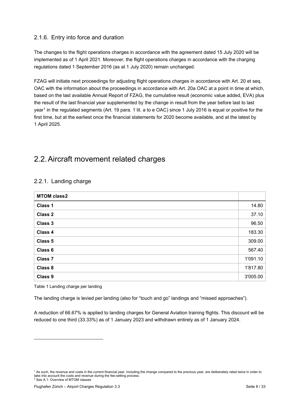### 2.1.6. Entry into force and duration

The changes to the flight operations charges in accordance with the agreement dated 15 July 2020 will be implemented as of 1 April 2021. Moreover, the flight operations charges in accordance with the charging regulations dated 1 September 2016 (as at 1 July 2020) remain unchanged.

FZAG will initiate next proceedings for adjusting flight operations charges in accordance with Art. 20 et seq. OAC with the information about the proceedings in accordance with Art. 20a OAC at a point in time at which, based on the last available Annual Report of FZAG, the cumulative result (economic value added, EVA) plus the result of the last financial year supplemented by the change in result from the year before last to last year<sup>[1](#page-7-2)</sup> in the regulated segments (Art. 19 para. 1 lit. a to e OAC) since 1 July 2016 is equal or positive for the first time, but at the earliest once the financial statements for 2020 become available, and at the latest by 1 April 2025.

# <span id="page-7-0"></span>2.2.Aircraft movement related charges

| <b>MTOM class2</b> |          |
|--------------------|----------|
| Class 1            | 14.80    |
| <b>Class 2</b>     | 37.10    |
| Class 3            | 96.50    |
| Class 4            | 183.30   |
| Class 5            | 309.00   |
| Class 6            | 567.40   |
| <b>Class 7</b>     | 1'091.10 |
| Class 8            | 1'817.80 |
| Class 9            | 3'005.00 |

### <span id="page-7-1"></span>2.2.1. Landing charge

<span id="page-7-4"></span>Table 1 Landing charge per landing

The landing charge is levied per landing (also for "touch and go" landings and "missed approaches").

A reduction of 66.67% is applied to landing charges for General Aviation training flights. This discount will be reduced to one third (33.33%) as of 1 January 2023 and withdrawn entirely as of 1 January 2024.

<span id="page-7-3"></span><span id="page-7-2"></span><sup>&</sup>lt;sup>1</sup> As such, the revenue and costs in the current financial year, including the change compared to the previous year, are deliberately rated twice in order to take into account the costs and revenue during the fee-setting process. <sup>2</sup> See A.1: Overview of MTOM classes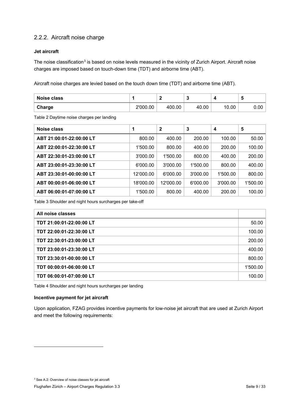### 2.2.2. Aircraft noise charge

#### **Jet aircraft**

The noise classification<sup>[3](#page-8-0)</sup> is based on noise levels measured in the vicinity of Zurich Airport. Aircraft noise charges are imposed based on touch-down time (TDT) and airborne time (ABT).

Aircraft noise charges are levied based on the touch down time (TDT) and airborne time (ABT).

| Noise class |          |        |       |       |      |
|-------------|----------|--------|-------|-------|------|
| Charge      | 2'000.00 | 400.00 | 40.00 | 10.00 | 0.00 |

<span id="page-8-1"></span>Table 2 Daytime noise charges per landing

| Noise class              | 1         | $\mathbf{2}$ | 3        | 4        | 5        |
|--------------------------|-----------|--------------|----------|----------|----------|
| ABT 21:00:01-22:00:00 LT | 800.00    | 400.00       | 200.00   | 100.00   | 50.00    |
| ABT 22:00:01-22:30:00 LT | 1'500.00  | 800.00       | 400.00   | 200.00   | 100.00   |
| ABT 22:30:01-23:00:00 LT | 3'000.00  | 1'500.00     | 800.00   | 400.00   | 200.00   |
| ABT 23:00:01-23:30:00 LT | 6'000.00  | 3'000.00     | 1'500.00 | 800.00   | 400.00   |
| ABT 23:30:01-00:00:00 LT | 12'000.00 | 6'000.00     | 3'000.00 | 1'500.00 | 800.00   |
| ABT 00:00:01-06:00:00 LT | 18'000.00 | 12'000.00    | 6'000.00 | 3'000.00 | 1'500.00 |
| ABT 06:00:01-07:00:00 LT | 1'500.00  | 800.00       | 400.00   | 200.00   | 100.00   |

<span id="page-8-2"></span>Table 3 Shoulder and night hours surcharges per take-off

| All noise classes        |          |
|--------------------------|----------|
| TDT 21:00:01-22:00:00 LT | 50.00    |
| TDT 22:00:01-22:30:00 LT | 100.00   |
| TDT 22:30:01-23:00:00 LT | 200.00   |
| TDT 23:00:01-23:30:00 LT | 400.00   |
| TDT 23:30:01-00:00:00 LT | 800.00   |
| TDT 00:00:01-06:00:00 LT | 1'500.00 |
| TDT 06:00:01-07:00:00 LT | 100.00   |

<span id="page-8-3"></span>Table 4 Shoulder and night hours surcharges per landing

#### **Incentive payment for jet aircraft**

<span id="page-8-0"></span>Upon application, FZAG provides incentive payments for low-noise jet aircraft that are used at Zurich Airport and meet the following requirements: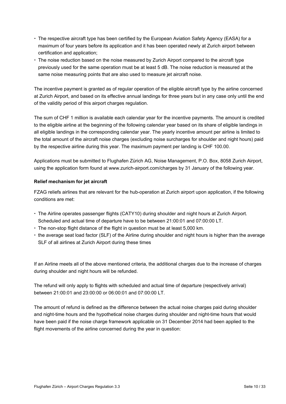- The respective aircraft type has been certified by the European Aviation Safety Agency (EASA) for a maximum of four years before its application and it has been operated newly at Zurich airport between certification and application;
- The noise reduction based on the noise measured by Zurich Airport compared to the aircraft type previously used for the same operation must be at least 5 dB. The noise reduction is measured at the same noise measuring points that are also used to measure jet aircraft noise.

The incentive payment is granted as of regular operation of the eligible aircraft type by the airline concerned at Zurich Airport, and based on its effective annual landings for three years but in any case only until the end of the validity period of this airport charges regulation.

The sum of CHF 1 million is available each calendar year for the incentive payments. The amount is credited to the eligible airline at the beginning of the following calendar year based on its share of eligible landings in all eligible landings in the corresponding calendar year. The yearly incentive amount per airline is limited to the total amount of the aircraft noise charges (excluding noise surcharges for shoulder and night hours) paid by the respective airline during this year. The maximum payment per landing is CHF 100.00.

Applications must be submitted to Flughafen Zürich AG, Noise Management, P.O. Box, 8058 Zurich Airport, using the application form found at [www.zurich-airport.com/charges](http://www.zurich-airport.com/charges) by 31 January of the following year.

#### **Relief mechanism for jet aircraft**

FZAG reliefs airlines that are relevant for the hub-operation at Zurich airport upon application, if the following conditions are met:

- The Airline operates passenger flights (CATY10) during shoulder and night hours at Zurich Airport. Scheduled and actual time of departure have to be between 21:00:01 and 07:00:00 LT.
- The non-stop flight distance of the flight in question must be at least 5,000 km.
- $\cdot$  the average seat load factor (SLF) of the Airline during shoulder and night hours is higher than the average SLF of all airlines at Zurich Airport during these times

If an Airline meets all of the above mentioned criteria, the additional charges due to the increase of charges during shoulder and night hours will be refunded.

The refund will only apply to flights with scheduled and actual time of departure (respectively arrival) between 21:00:01 and 23:00:00 or 06:00:01 and 07:00:00 LT.

The amount of refund is defined as the difference between the actual noise charges paid during shoulder and night-time hours and the hypothetical noise charges during shoulder and night-time hours that would have been paid if the noise charge framework applicable on 31 December 2014 had been applied to the flight movements of the airline concerned during the year in question: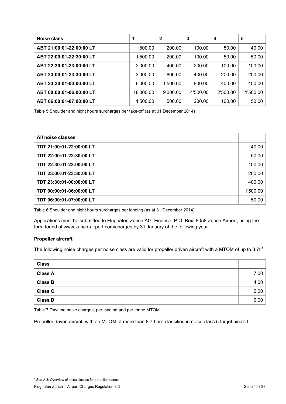| Noise class              |           | $\mathbf 2$ | 3        | 4        | 5        |
|--------------------------|-----------|-------------|----------|----------|----------|
| ABT 21:00:01-22:00:00 LT | 800.00    | 200.00      | 100.00   | 50.00    | 40.00    |
| ABT 22:00:01-22:30:00 LT | 1'500.00  | 200.00      | 100.00   | 50.00    | 50.00    |
| ABT 22:30:01-23:00:00 LT | 2'000.00  | 400.00      | 200.00   | 100.00   | 100.00   |
| ABT 23:00:01-23:30:00 LT | 3'000.00  | 800.00      | 400.00   | 200.00   | 200.00   |
| ABT 23:30:01-00:00:00 LT | 6'000.00  | 1'500.00    | 800.00   | 400.00   | 400.00   |
| ABT 00:00:01-06:00:00 LT | 18'000.00 | 9'000.00    | 4'500.00 | 2'500.00 | 1'500.00 |
| ABT 06:00:01-07:00:00 LT | 1'500.00  | 500.00      | 200.00   | 100.00   | 50.00    |

<span id="page-10-1"></span>Table 5 Shoulder and night hours surcharges per take-off (as at 31 December 2014)

| All noise classes        |          |
|--------------------------|----------|
| TDT 21:00:01-22:00:00 LT | 40.00    |
| TDT 22:00:01-22:30:00 LT | 50.00    |
| TDT 22:30:01-23:00:00 LT | 100.00   |
| TDT 23:00:01-23:30:00 LT | 200.00   |
| TDT 23:30:01-00:00:00 LT | 400.00   |
| TDT 00:00:01-06:00:00 LT | 1'500.00 |
| TDT 06:00:01-07:00:00 LT | 50.00    |

<span id="page-10-2"></span>Table 6 Shoulder and night hours surcharges per landing (as at 31 December 2014)

Applications must be submitted to Flughafen Zürich AG, Finance, P.O. Box, 8058 Zurich Airport, using the form found at [www.zurich-airport.com/charges](http://www.zurich-airport.com/charges) by 31 January of the following year.

#### **Propeller aircraft**

The following noise charges per noise class are valid for propeller driven aircraft with a MTOM of up to 8.7t<sup>[4](#page-10-0)</sup>:

| <b>Class</b>   |      |
|----------------|------|
| <b>Class A</b> | 7.00 |
| <b>Class B</b> | 4.00 |
| <b>Class C</b> | 2.00 |
| <b>Class D</b> | 0.00 |

<span id="page-10-3"></span>Table 7 Daytime noise charges, per landing and per tonne MTOM

Propeller driven aircraft with an MTOM of more than 8.7 t are classified in noise class 5 for jet aircraft.

<span id="page-10-0"></span><sup>4</sup> See A.3: Overview of noise classes for propeller planes.

Flughafen Zürich – Airport Charges Regulation 3.3 Seite 11 / 33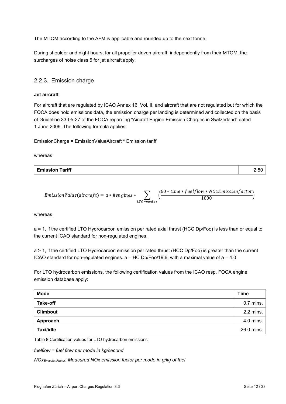The MTOM according to the AFM is applicable and rounded up to the next tonne.

During shoulder and night hours, for all propeller driven aircraft, independently from their MTOM, the surcharges of noise class 5 for jet aircraft apply.

### 2.2.3. Emission charge

#### **Jet aircraft**

For aircraft that are regulated by ICAO Annex 16, Vol. II, and aircraft that are not regulated but for which the FOCA does hold emissions data, the emission charge per landing is determined and collected on the basis of Guideline 33-05-27 of the FOCA regarding "Aircraft Engine Emission Charges in Switzerland" dated 1 June 2009. The following formula applies:

EmissionCharge = EmissionValueAircraft \* Emission tariff

whereas

| <b>Emission Tariff</b> | $\sim$<br>້⊷ບບ |
|------------------------|----------------|

*EmissionValue*(*aircraft*) = 
$$
a * \text{#engines} * \sum_{LTO-mod \text{ }es} \left( \frac{60 * \text{ time} * \text{fuelflow} * \text{NOxEmissionfactor}}{1000} \right)
$$

whereas

a = 1, if the certified LTO Hydrocarbon emission per rated axial thrust (HCC Dp/Foo) is less than or equal to the current ICAO standard for non-regulated engines.

a > 1, if the certified LTO Hydrocarbon emission per rated thrust (HCC Dp/Foo) is greater than the current ICAO standard for non-regulated engines.  $a = HC Dp/Foo/19.6$ , with a maximal value of  $a = 4.0$ 

For LTO hydrocarbon emissions, the following certification values from the ICAO resp. FOCA engine emission database apply:

| <b>Mode</b>     | <b>Time</b>   |
|-----------------|---------------|
| <b>Take-off</b> | $0.7$ mins.   |
| <b>Climbout</b> | 2.2 mins. $ $ |
| Approach        | 4.0 mins. $ $ |
| Taxi/idle       | 26.0 mins.    |

<span id="page-11-0"></span>Table 8 Certification values for LTO hydrocarbon emissions

*fuelflow = fuel flow per mode in kg/second*

*NOxEmissionFactor: Measured NOx emission factor per mode in g/kg of fuel*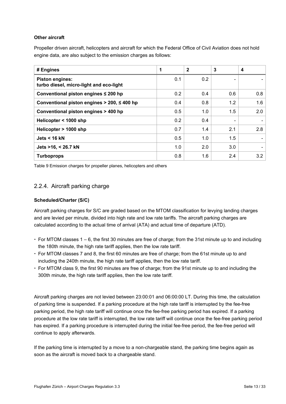#### **Other aircraft**

Propeller driven aircraft, helicopters and aircraft for which the Federal Office of Civil Aviation does not hold engine data, are also subject to the emission charges as follows:

| # Engines                                                         | 1   | $\mathbf{2}$ | 3   | 4   |
|-------------------------------------------------------------------|-----|--------------|-----|-----|
| <b>Piston engines:</b><br>turbo diesel, micro-light and eco-light | 0.1 | 0.2          |     |     |
| Conventional piston engines ≤ 200 hp                              | 0.2 | 0.4          | 0.6 | 0.8 |
| Conventional piston engines $>$ 200, $\leq$ 400 hp                | 0.4 | 0.8          | 1.2 | 1.6 |
| Conventional piston engines > 400 hp                              | 0.5 | 1.0          | 1.5 | 2.0 |
| Helicopter < 1000 shp                                             | 0.2 | 0.4          | ٠   | ٠   |
| Helicopter > 1000 shp                                             | 0.7 | 1.4          | 2.1 | 2.8 |
| Jets $<$ 16 kN                                                    | 0.5 | 1.0          | 1.5 |     |
| Jets >16, < 26.7 kN                                               | 1.0 | 2.0          | 3.0 |     |
| <b>Turboprops</b>                                                 | 0.8 | 1.6          | 2.4 | 3.2 |

<span id="page-12-1"></span><span id="page-12-0"></span>Table 9 Emission charges for propeller planes, helicopters and others

### 2.2.4. Aircraft parking charge

#### **Scheduled/Charter (S/C)**

Aircraft parking charges for S/C are graded based on the MTOM classification for levying landing charges and are levied per minute, divided into high rate and low rate tariffs. The aircraft parking charges are calculated according to the actual time of arrival (ATA) and actual time of departure (ATD).

- $\cdot$  For MTOM classes 1 6, the first 30 minutes are free of charge; from the 31st minute up to and including the 180th minute, the high rate tariff applies, then the low rate tariff.
- For MTOM classes 7 and 8, the first 60 minutes are free of charge; from the 61st minute up to and including the 240th minute, the high rate tariff applies, then the low rate tariff.
- For MTOM class 9, the first 90 minutes are free of charge; from the 91st minute up to and including the 300th minute, the high rate tariff applies, then the low rate tariff.

Aircraft parking charges are not levied between 23:00:01 and 06:00:00 LT. During this time, the calculation of parking time is suspended. If a parking procedure at the high rate tariff is interrupted by the fee-free parking period, the high rate tariff will continue once the fee-free parking period has expired. If a parking procedure at the low rate tariff is interrupted, the low rate tariff will continue once the fee-free parking period has expired. If a parking procedure is interrupted during the initial fee-free period, the fee-free period will continue to apply afterwards.

If the parking time is interrupted by a move to a non-chargeable stand, the parking time begins again as soon as the aircraft is moved back to a chargeable stand.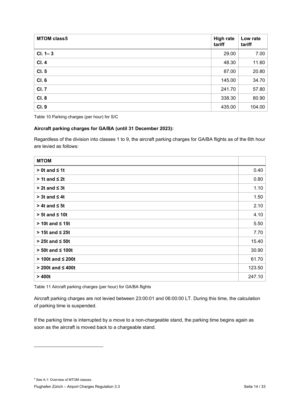| <b>MTOM class5</b> | <b>High rate</b><br>tariff | Low rate<br>tariff |
|--------------------|----------------------------|--------------------|
| $CI. 1 - 3$        | 29.00                      | 7.00               |
| <b>CI.4</b>        | 48.30                      | 11.60              |
| CI. 5              | 87.00                      | 20.80              |
| CI. 6              | 145.00                     | 34.70              |
| <b>CI.7</b>        | 241.70                     | 57.80              |
| <b>CI. 8</b>       | 338.30                     | 80.90              |
| <b>CI. 9</b>       | 435.00                     | 104.00             |

<span id="page-13-1"></span>Table 10 Parking charges (per hour) for S/C

#### **Aircraft parking charges for GA/BA (until 31 December 2023):**

Regardless of the division into classes 1 to 9, the aircraft parking charges for GA/BA flights as of the 6th hour are levied as follows:

| <b>MTOM</b>              |        |
|--------------------------|--------|
| $> 0t$ and $\leq 1t$     | 0.40   |
| $> 1t$ and $\leq 2t$     | 0.80   |
| $> 2t$ and $\leq 3t$     | 1.10   |
| $> 3t$ and $\leq 4t$     | 1.50   |
| $> 4t$ and $\leq 5t$     | 2.10   |
| $> 5t$ and $\leq 10t$    | 4.10   |
| $> 10t$ and $\leq 15t$   | 5.50   |
| $> 15t$ and $\leq 25t$   | 7.70   |
| $> 25t$ and $\leq 50t$   | 15.40  |
| $> 50t$ and $\leq 100t$  | 30.90  |
| $> 100t$ and $\leq 200t$ | 61.70  |
| $>$ 200t and $\leq$ 400t | 123.50 |
| >400t                    | 247.10 |

<span id="page-13-2"></span>Table 11 Aircraft parking charges (per hour) for GA/BA flights

Aircraft parking charges are not levied between 23:00:01 and 06:00:00 LT. During this time, the calculation of parking time is suspended.

If the parking time is interrupted by a move to a non-chargeable stand, the parking time begins again as soon as the aircraft is moved back to a chargeable stand.

<span id="page-13-0"></span>*<sup>5</sup>* Se[e A.1:](#page-24-1) Overview of MTOM classes.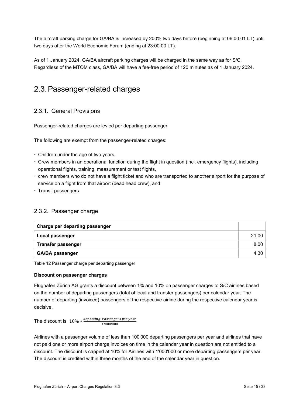The aircraft parking charge for GA/BA is increased by 200% two days before (beginning at 06:00:01 LT) until two days after the World Economic Forum (ending at 23:00:00 LT).

As of 1 January 2024, GA/BA aircraft parking charges will be charged in the same way as for S/C. Regardless of the MTOM class, GA/BA will have a fee-free period of 120 minutes as of 1 January 2024.

# <span id="page-14-0"></span>2.3.Passenger-related charges

### 2.3.1. General Provisions

Passenger-related charges are levied per departing passenger.

The following are exempt from the passenger-related charges:

- Children under the age of two years,
- Crew members in an operational function during the flight in question (incl. emergency flights), including operational flights, training, measurement or test flights,
- crew members who do not have a flight ticket and who are transported to another airport for the purpose of service on a flight from that airport (dead head crew), and
- $\cdot$  Transit passengers

### 2.3.2. Passenger charge

| Charge per departing passenger |       |
|--------------------------------|-------|
| Local passenger                | 21.00 |
| ⊺ Transfer passenger           | 8.00  |
| <b>GA/BA passenger</b>         | 4.30  |

<span id="page-14-1"></span>Table 12 Passenger charge per departing passenger

#### **Discount on passenger charges**

Flughafen Zürich AG grants a discount between 1% and 10% on passenger charges to S/C airlines based on the number of departing passengers (total of local and transfer passengers) per calendar year. The number of departing (invoiced) passengers of the respective airline during the respective calendar year is decisive.

The discount is  $10\% * \frac{deparing\ Passengers\ per\ y}{1/000/000}$ 

Airlines with a passenger volume of less than 100'000 departing passengers per year and airlines that have not paid one or more airport charge invoices on time in the calendar year in question are not entitled to a discount. The discount is capped at 10% for Airlines with 1'000'000 or more departing passengers per year. The discount is credited within three months of the end of the calendar year in question.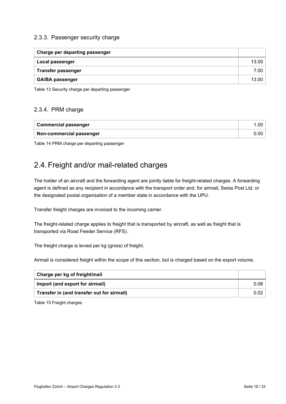### 2.3.3. Passenger security charge

| <b>Charge per departing passenger</b> |       |
|---------------------------------------|-------|
| Local passenger                       | 13.00 |
| <b>Transfer passenger</b>             | 7.00  |
| <b>GA/BA passenger</b>                | 13.00 |

<span id="page-15-1"></span>Table 13 Security charge per departing passenger

### 2.3.4. PRM charge

| Commercial passenger     |  |
|--------------------------|--|
| Non-commercial passenger |  |

<span id="page-15-2"></span><span id="page-15-0"></span>Table 14 PRM charge per departing passenger

# 2.4.Freight and/or mail-related charges

The holder of an aircraft and the forwarding agent are jointly liable for freight-related charges. A forwarding agent is defined as any recipient in accordance with the transport order and, for airmail, Swiss Post Ltd. or the designated postal organisation of a member state in accordance with the UPU.

Transfer freight charges are invoiced to the incoming carrier.

The freight-related charge applies to freight that is transported by aircraft, as well as freight that is transported via Road Feeder Service (RFS).

The freight charge is levied per kg (gross) of freight.

Airmail is considered freight within the scope of this section, but is charged based on the export volume.

| Charge per kg of freight/mail              |      |
|--------------------------------------------|------|
| Import (and export for airmail)            | 0.06 |
| Transfer in (and transfer out for airmail) | 0.02 |

<span id="page-15-3"></span>Table 15 Freight charges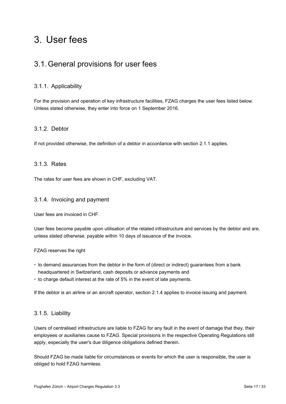# <span id="page-16-0"></span>3. User fees

## <span id="page-16-1"></span>3.1.General provisions for user fees

### 3.1.1. Applicability

For the provision and operation of key infrastructure facilities, FZAG charges the user fees listed below. Unless stated otherwise, they enter into force on 1 September 2016.

### 3.1.2. Debtor

If not provided otherwise, the definition of a debtor in accordance with section [2.1.1](#page-5-2) applies.

### 3.1.3. Rates

The rates for user fees are shown in CHF, excluding VAT.

### 3.1.4. Invoicing and payment

User fees are invoiced in CHF.

User fees become payable upon utilisation of the related infrastructure and services by the debtor and are, unless stated otherwise, payable within 10 days of issuance of the invoice.

#### FZAG reserves the right

- to demand assurances from the debtor in the form of (direct or indirect) guarantees from a bank headquartered in Switzerland, cash deposits or advance payments and
- $\cdot$  to charge default interest at the rate of 5% in the event of late payments.

If the debtor is an airline or an aircraft operator, section [2.1.4](#page-5-3) applies to invoice issuing and payment.

### 3.1.5. Liability

Users of centralised infrastructure are liable to FZAG for any fault in the event of damage that they, their employees or auxiliaries cause to FZAG. Special provisions in the respective Operating Regulations still apply, especially the user's due diligence obligations defined therein.

Should FZAG be made liable for circumstances or events for which the user is responsible, the user is obliged to hold FZAG harmless.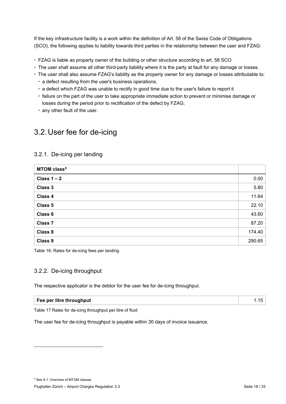If the key infrastructure facility is a work within the definition of Art. 58 of the Swiss Code of Obligations (SCO), the following applies to liability towards third parties in the relationship between the user and FZAG:

- FZAG is liable as property owner of the building or other structure according to art. 58 SCO
- The user shall assume all other third-party liability where it is the party at fault for any damage or losses.
- The user shall also assume FZAG's liability as the property owner for any damage or losses attributable to:
	- a defect resulting from the user's business operations,
	- a defect which FZAG was unable to rectify in good time due to the user's failure to report it
	- failure on the part of the user to take appropriate immediate action to prevent or minimise damage or losses during the period prior to rectification of the defect by FZAG;
	- any other fault of the user.

# <span id="page-17-0"></span>3.2.User fee for de-icing

### 3.2.1. De-icing per landing

| MTOM class <sup>6</sup> |        |
|-------------------------|--------|
| Class $1 - 2$           | 0.00   |
| <b>Class 3</b>          | 5.80   |
| Class 4                 | 11.64  |
| Class 5                 | 22.10  |
| Class 6                 | 43.60  |
| <b>Class 7</b>          | 87.20  |
| Class 8                 | 174.40 |
| Class 9                 | 290.65 |

<span id="page-17-2"></span>Table 16: Rates for de-icing fees per landing

### 3.2.2. De-icing throughput

The respective applicator is the debtor for the user fee for de-icing throughput.

| Fee per litre throughput |  |
|--------------------------|--|
|                          |  |

<span id="page-17-3"></span>Table 17 Rates for de-icing throughput per litre of fluid

The user fee for de-icing throughput is payable within 30 days of invoice issuance.

<span id="page-17-1"></span><sup>6</sup> Se[e A.1:](#page-24-1) Overview of MTOM classes.

Flughafen Zürich – Airport Charges Regulation 3.3 Seite 18 / 33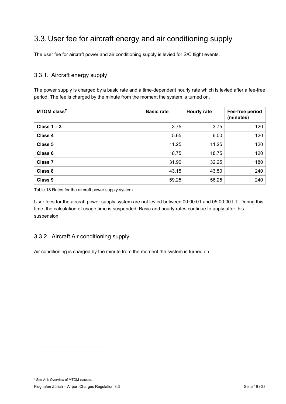# <span id="page-18-0"></span>3.3.User fee for aircraft energy and air conditioning supply

The user fee for aircraft power and air conditioning supply is levied for S/C flight events.

### 3.3.1. Aircraft energy supply

The power supply is charged by a basic rate and a time-dependent hourly rate which is levied after a fee-free period. The fee is charged by the minute from the moment the system is turned on.

| MTOM class <sup>7</sup> | <b>Basic rate</b> | <b>Hourly rate</b> | Fee-free period<br>(minutes) |
|-------------------------|-------------------|--------------------|------------------------------|
| Class $1 - 3$           | 3.75              | 3.75               | 120                          |
| Class 4                 | 5.65              | 6.00               | 120                          |
| Class 5                 | 11.25             | 11.25              | 120                          |
| Class 6                 | 18.75             | 18.75              | 120                          |
| Class <sub>7</sub>      | 31.90             | 32.25              | 180                          |
| Class 8                 | 43.15             | 43.50              | 240                          |
| Class 9                 | 59.25             | 56.25              | 240                          |

<span id="page-18-2"></span>Table 18 Rates for the aircraft power supply system

User fees for the aircraft power supply system are not levied between 00:00:01 and 05:00:00 LT. During this time, the calculation of usage time is suspended. Basic and hourly rates continue to apply after this suspension.

### 3.3.2. Aircraft Air conditioning supply

Air conditioning is charged by the minute from the moment the system is turned on.

<span id="page-18-1"></span><sup>7</sup> Se[e A.1:](#page-24-1) Overview of MTOM classes.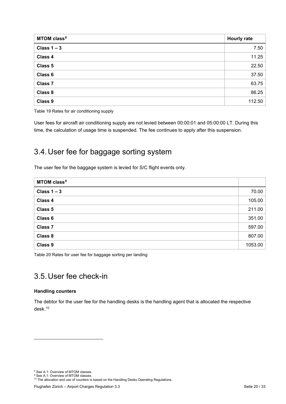| MTOM class <sup>8</sup> | <b>Hourly rate</b> |
|-------------------------|--------------------|
| Class $1 - 3$           | 7.50               |
| Class 4                 | 11.25              |
| Class 5                 | 22.50              |
| Class 6                 | 37.50              |
| <b>Class 7</b>          | 63.75              |
| Class 8                 | 86.25              |
| Class 9                 | 112.50             |

<span id="page-19-5"></span>Table 19 Rates for air conditioning supply

User fees for aircraft air conditioning supply are not levied between 00:00:01 and 05:00:00 LT. During this time, the calculation of usage time is suspended. The fee continues to apply after this suspension.

# <span id="page-19-0"></span>3.4.User fee for baggage sorting system

The user fee for the baggage system is levied for S/C flight events only.

| MTOM class <sup>9</sup> |         |
|-------------------------|---------|
| Class $1 - 3$           | 70.00   |
| Class 4                 | 105.00  |
| Class 5                 | 211.00  |
| Class 6                 | 351.00  |
| <b>Class 7</b>          | 597.00  |
| Class 8                 | 807.00  |
| Class 9                 | 1053.00 |

<span id="page-19-6"></span><span id="page-19-1"></span>Table 20 Rates for user fee for baggage sorting per landing

# 3.5.User fee check-in

#### **Handling counters**

The debtor for the user fee for the handling desks is the handling agent that is allocated the respective desk.[10](#page-19-4)

<span id="page-19-2"></span><sup>8</sup> Se[e A.1:](#page-24-1) Overview of MTOM classes.

<span id="page-19-4"></span><span id="page-19-3"></span><sup>&</sup>lt;sup>9</sup> Se[e A.1:](#page-24-1) Overview of MTOM classes.

 $10$  The allocation and use of counters is based on the Handling Desks Operating Regulations.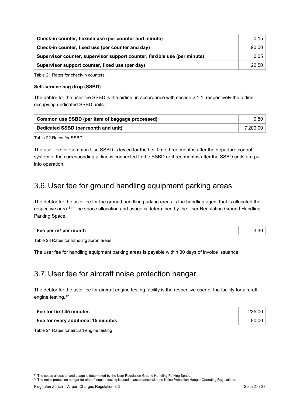| Check-in counter, flexible use (per counter and minute)                   |       |
|---------------------------------------------------------------------------|-------|
| Check-in counter, fixed use (per counter and day)                         | 90.00 |
| Supervisor counter, supervisor support counter, flexible use (per minute) | 0.05  |
| Supervisor support counter, fixed use (per day)                           | 22.50 |

<span id="page-20-4"></span>Table 21 Rates for check-in counters

#### **Self-service bag drop (SSBD)**

The debtor for the user fee SSBD is the airline, in accordance with section [2.1.1,](#page-5-2) respectively the airline occupying dedicated SSBD units.

| ↑ Common use SSBD (per item of baggage processed) |          |
|---------------------------------------------------|----------|
| Dedicated SSBD (per month and unit)               | 7'200.00 |

<span id="page-20-5"></span>Table 22 Rates for SSBD

The user fee for Common Use SSBD is levied for the first time three months after the departure control system of the corresponding airline is connected to the SSBD or three months after the SSBD units are put into operation.

# <span id="page-20-0"></span>3.6.User fee for ground handling equipment parking areas

The debtor for the user fee for the ground handling parking areas is the handling agent that is allocated the respective area.[11](#page-20-2) The space allocation and usage is determined by the User Regulation Ground Handling Parking Space.

<span id="page-20-6"></span>Table 23 Rates for handling apron areas

The user fee for handling equipment parking areas is payable within 30 days of invoice issuance.

# <span id="page-20-1"></span>3.7.User fee for aircraft noise protection hangar

The debtor for the user fee for aircraft engine testing facility is the respective user of the facility for aircraft engine testing.<sup>[12](#page-20-3)</sup>

| Fee for first 45 minutes            | 235.00 |
|-------------------------------------|--------|
| Fee for every additional 15 minutes | 80.00  |

<span id="page-20-7"></span>Table 24 Rates for aircraft engine testing

<span id="page-20-3"></span><span id="page-20-2"></span><sup>12</sup> The noise protection hangar for aircraft engine testing is used in accordance with the Noise Protection Hangar Operating Regulations.

<sup>&</sup>lt;sup>11</sup> The space allocation and usage is determined by the User Regulation Ground Handling Parking Space.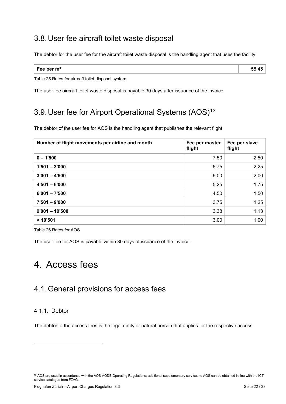# <span id="page-21-0"></span>3.8.User fee aircraft toilet waste disposal

The debtor for the user fee for the aircraft toilet waste disposal is the handling agent that uses the facility.

| - -<br>Fee per $m3$<br>w<br>__ |
|--------------------------------|
|--------------------------------|

<span id="page-21-5"></span>Table 25 Rates for aircraft toilet disposal system

The user fee aircraft toilet waste disposal is payable 30 days after issuance of the invoice.

# <span id="page-21-1"></span>3.9.User fee for Airport Operational Systems (AOS)[13](#page-21-4)

The debtor of the user fee for AOS is the handling agent that publishes the relevant flight.

| Number of flight movements per airline and month | Fee per master<br>flight | Fee per slave<br>flight |
|--------------------------------------------------|--------------------------|-------------------------|
| $0 - 1'500$                                      | 7.50                     | 2.50                    |
| $1'501 - 3'000$                                  | 6.75                     | 2.25                    |
| $3'001 - 4'500$                                  | 6.00                     | 2.00                    |
| $4'501 - 6'000$                                  | 5.25                     | 1.75                    |
| $6'001 - 7'500$                                  | 4.50                     | 1.50                    |
| $7'501 - 9'000$                                  | 3.75                     | 1.25                    |
| $9'001 - 10'500$                                 | 3.38                     | 1.13                    |
| >10'501                                          | 3.00                     | 1.00                    |

<span id="page-21-6"></span>Table 26 Rates for AOS

The user fee for AOS is payable within 30 days of issuance of the invoice.

# <span id="page-21-2"></span>4. Access fees

# <span id="page-21-3"></span>4.1.General provisions for access fees

### 4.1.1. Debtor

The debtor of the access fees is the legal entity or natural person that applies for the respective access.

<span id="page-21-4"></span><sup>&</sup>lt;sup>13</sup> AOS are used in accordance with the AOS-AODB Operating Regulations; additional supplementary services to AOS can be obtained in line with the ICT service catalogue from FZAG.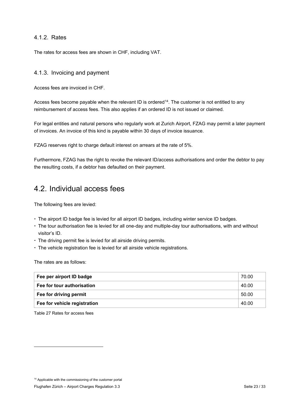### 4.1.2. Rates

The rates for access fees are shown in CHF, including VAT.

### 4.1.3. Invoicing and payment

Access fees are invoiced in CHF.

Access fees become payable when the relevant ID is ordered<sup>[14](#page-22-1)</sup>. The customer is not entitled to any reimbursement of access fees. This also applies if an ordered ID is not issued or claimed.

For legal entities and natural persons who regularly work at Zurich Airport, FZAG may permit a later payment of invoices. An invoice of this kind is payable within 30 days of invoice issuance.

FZAG reserves right to charge default interest on arrears at the rate of 5%.

Furthermore, FZAG has the right to revoke the relevant ID/access authorisations and order the debtor to pay the resulting costs, if a debtor has defaulted on their payment.

## <span id="page-22-0"></span>4.2. Individual access fees

The following fees are levied:

- The airport ID badge fee is levied for all airport ID badges, including winter service ID badges.
- The tour authorisation fee is levied for all one-day and multiple-day tour authorisations, with and without visitor's ID.
- The driving permit fee is levied for all airside driving permits.
- The vehicle registration fee is levied for all airside vehicle registrations.

The rates are as follows:

| Fee per airport ID badge     | 70.00 |
|------------------------------|-------|
| Fee for tour authorisation   | 40.00 |
| Fee for driving permit       | 50.00 |
| Fee for vehicle registration | 40.00 |

<span id="page-22-2"></span>Table 27 Rates for access fees

<span id="page-22-1"></span><sup>14</sup> Applicable with the commissioning of the customer portal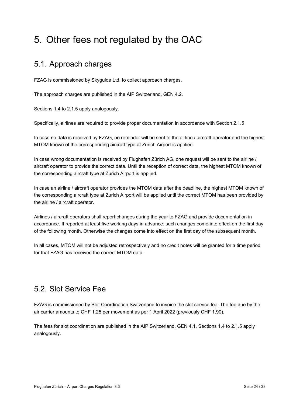# <span id="page-23-0"></span>5. Other fees not regulated by the OAC

# <span id="page-23-1"></span>5.1. Approach charges

FZAG is commissioned by Skyguide Ltd. to collect approach charges.

The approach charges are published in the AIP Switzerland, GEN 4.2.

Sections [1.4](#page-4-4) to [2.1.5](#page-6-0) apply analogously.

Specifically, airlines are required to provide proper documentation in accordance with Section 2.1.5

In case no data is received by FZAG, no reminder will be sent to the airline / aircraft operator and the highest MTOM known of the corresponding aircraft type at Zurich Airport is applied.

In case wrong documentation is received by Flughafen Zürich AG, one request will be sent to the airline / aircraft operator to provide the correct data. Until the reception of correct data, the highest MTOM known of the corresponding aircraft type at Zurich Airport is applied.

In case an airline / aircraft operator provides the MTOM data after the deadline, the highest MTOM known of the corresponding aircraft type at Zurich Airport will be applied until the correct MTOM has been provided by the airline / aircraft operator.

Airlines / aircraft operators shall report changes during the year to FZAG and provide documentation in accordance. If reported at least five working days in advance, such changes come into effect on the first day of the following month. Otherwise the changes come into effect on the first day of the subsequent month.

In all cases, MTOM will not be adjusted retrospectively and no credit notes will be granted for a time period for that FZAG has received the correct MTOM data.

# <span id="page-23-2"></span>5.2. Slot Service Fee

FZAG is commissioned by Slot Coordination Switzerland to invoice the slot service fee. The fee due by the air carrier amounts to CHF 1.25 per movement as per 1 April 2022 (previously CHF 1.90).

The fees for slot coordination are published in the AIP Switzerland, GEN 4.1. Sections [1.4](#page-4-4) to [2.1.5](#page-6-0) apply analogously.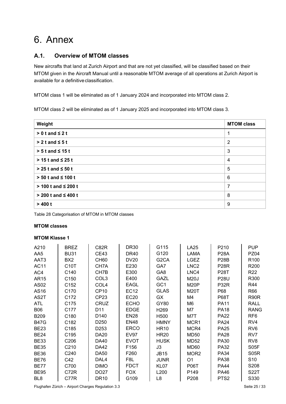# <span id="page-24-0"></span>6. Annex

### <span id="page-24-1"></span>**A.1. Overview of MTOM classes**

New aircrafts that land at Zurich Airport and that are not yet classified, will be classified based on their MTOM given in the Aircraft Manual until a reasonable MTOM average of all operations at Zurich Airport is available for a definitive classification.

MTOM class 1 will be eliminated as of 1 January 2024 and incorporated into MTOM class 2.

MTOM class 2 will be eliminated as of 1 January 2025 and incorporated into MTOM class 3.

| Weight                     | <b>MTOM class</b> |
|----------------------------|-------------------|
| $> 0$ t and $\leq 2$ t     | 1                 |
| $> 2t$ and $\leq 5t$       | $\overline{2}$    |
| $> 5t$ and $\leq 15t$      | 3                 |
| $>$ 15 t and $\leq$ 25 t   | 4                 |
| $> 25$ t and $\leq 50$ t   | 5                 |
| $> 50$ t and $\leq 100$ t  | 6                 |
| $> 100$ t and $\leq 200$ t | 7                 |
| $> 200$ t and $\leq 400$ t | 8                 |
| > 400 t                    | 9                 |

<span id="page-24-2"></span>Table 28 Categorisation of MTOM in MTOM classes

#### **MTOM classes**

### <span id="page-24-3"></span>**MTOM Klasse 1**

| A210             | <b>BREZ</b>       | C82R             | <b>DR30</b> | G115              | <b>LA25</b>       | P210              | <b>PUP</b>        |
|------------------|-------------------|------------------|-------------|-------------------|-------------------|-------------------|-------------------|
| AA5              | <b>BU31</b>       | <b>CE43</b>      | <b>DR40</b> | G120              | LAMA              | <b>P28A</b>       | <b>PZ04</b>       |
| AAT3             | BX <sub>2</sub>   | <b>CH60</b>      | <b>DV20</b> | G <sub>2</sub> CA | <b>LGEZ</b>       | <b>P28B</b>       | R <sub>100</sub>  |
| <b>AC11</b>      | C <sub>10</sub> T | CH7A             | E230        | GA7               | LNC <sub>2</sub>  | P <sub>28</sub> R | R <sub>200</sub>  |
| AC4              | C140              | CH7B             | E300        | GA <sub>8</sub>   | LNC4              | <b>P28T</b>       | R <sub>22</sub>   |
| AR15             | C <sub>150</sub>  | COL <sub>3</sub> | E400        | GAZL              | <b>M20J</b>       | <b>P28U</b>       | R300              |
| AS <sub>02</sub> | C <sub>152</sub>  | COL4             | <b>EAGL</b> | GC <sub>1</sub>   | M20P              | P32R              | R44               |
| AS16             | C <sub>170</sub>  | CP <sub>10</sub> | <b>EC12</b> | <b>GLAS</b>       | M20T              | P68               | R66               |
| AS2T             | C <sub>172</sub>  | CP <sub>23</sub> | EC20        | GX                | M4                | <b>P68T</b>       | R90R              |
| <b>ATL</b>       | C <sub>175</sub>  | CRUZ             | <b>ECHO</b> | GY80              | M6                | <b>PA11</b>       | <b>RALL</b>       |
| <b>B06</b>       | C177              | D <sub>11</sub>  | <b>EDGE</b> | H <sub>269</sub>  | M7                | <b>PA18</b>       | <b>RANG</b>       |
| <b>B209</b>      | C <sub>180</sub>  | D <sub>140</sub> | <b>EN28</b> | H <sub>500</sub>  | M7T               | <b>PA22</b>       | RF <sub>6</sub>   |
| <b>B47G</b>      | C <sub>182</sub>  | D <sub>250</sub> | <b>EN48</b> | <b>HMNY</b>       | MCR <sub>1</sub>  | <b>PA24</b>       | RV4               |
| <b>BE23</b>      | C <sub>185</sub>  | D <sub>253</sub> | <b>ERCO</b> | <b>HR10</b>       | MCR4              | <b>PA25</b>       | RV <sub>6</sub>   |
| <b>BE24</b>      | C <sub>195</sub>  | DA20             | <b>EV97</b> | <b>HR20</b>       | <b>MD50</b>       | <b>PA28</b>       | RV7               |
| <b>BE33</b>      | C <sub>206</sub>  | DA40             | <b>EVOT</b> | <b>HUSK</b>       | MD52              | <b>PA30</b>       | RV <sub>8</sub>   |
| <b>BE35</b>      | C <sub>210</sub>  | DA42             | F156        | J3                | MD <sub>60</sub>  | PA32              | S <sub>05</sub> F |
| <b>BE36</b>      | C <sub>240</sub>  | <b>DA50</b>      | F260        | <b>JB15</b>       | MOR <sub>2</sub>  | <b>PA34</b>       | S <sub>05</sub> R |
| <b>BE76</b>      | C42               | DAL4             | F8L         | <b>JUNR</b>       | O <sub>1</sub>    | <b>PA38</b>       | S <sub>10</sub>   |
| <b>BE77</b>      | C700              | <b>DIMO</b>      | <b>FDCT</b> | KL <sub>07</sub>  | P <sub>06</sub> T | <b>PA44</b>       | S208              |
| <b>BE95</b>      | C72R              | DO27             | <b>FOX</b>  | L <sub>200</sub>  | P149              | <b>PA46</b>       | <b>S22T</b>       |
| BL <sub>8</sub>  | C77R              | DR <sub>10</sub> | G109        | L8                | P208              | PTS <sub>2</sub>  | S330              |

Flughafen Zürich – Airport Charges Regulation 3.3 Seite 25 / 33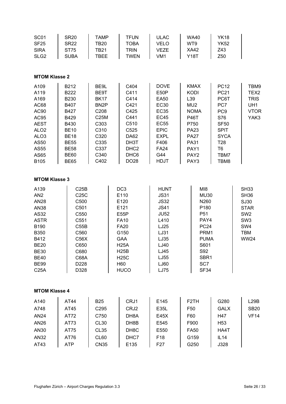| SC <sub>01</sub><br><b>SF25</b><br><b>SIRA</b><br>SLG <sub>2</sub>                                                                                                                          | <b>SR20</b><br><b>SR22</b><br><b>ST75</b><br><b>SUBA</b>                                                                                       | <b>TAMP</b><br><b>TB20</b><br><b>TB21</b><br><b>TBEE</b>                                                                             | <b>TFUN</b><br><b>TOBA</b><br><b>TRIN</b><br><b>TWEN</b>                                                                                                               | <b>ULAC</b><br><b>VELO</b><br><b>VEZE</b><br>VM <sub>1</sub>                                                                                                              | <b>WA40</b><br>WT9<br><b>XA42</b><br><b>Y18T</b>                                                                                                                            | <b>YK18</b><br><b>YK52</b><br>Z43<br>Z50                                                                                                                              |                                                                                                                                  |
|---------------------------------------------------------------------------------------------------------------------------------------------------------------------------------------------|------------------------------------------------------------------------------------------------------------------------------------------------|--------------------------------------------------------------------------------------------------------------------------------------|------------------------------------------------------------------------------------------------------------------------------------------------------------------------|---------------------------------------------------------------------------------------------------------------------------------------------------------------------------|-----------------------------------------------------------------------------------------------------------------------------------------------------------------------------|-----------------------------------------------------------------------------------------------------------------------------------------------------------------------|----------------------------------------------------------------------------------------------------------------------------------|
| <b>MTOM Klasse 2</b>                                                                                                                                                                        |                                                                                                                                                |                                                                                                                                      |                                                                                                                                                                        |                                                                                                                                                                           |                                                                                                                                                                             |                                                                                                                                                                       |                                                                                                                                  |
| A109<br>A119<br>A169<br>AC68<br>AC90<br>AC95<br><b>AEST</b><br>ALO <sub>2</sub><br>ALO <sub>3</sub><br>AS50<br><b>AS55</b><br>AS65<br>B105                                                  | B212<br>B222<br>B230<br>B407<br>B427<br>B429<br>B430<br><b>BE10</b><br><b>BE18</b><br><b>BE55</b><br><b>BE58</b><br><b>BE60</b><br><b>BE65</b> | BE9L<br>BE9T<br><b>BK17</b><br>BN <sub>2</sub> P<br>C <sub>208</sub><br>C25M<br>C303<br>C310<br>C320<br>C335<br>C337<br>C340<br>C402 | C404<br>C411<br>C414<br>C421<br>C425<br>C441<br>C510<br>C525<br>DA62<br>DH3T<br>DHC <sub>2</sub><br>DHC <sub>6</sub><br>DO28                                           | <b>DOVE</b><br>E50P<br><b>EA50</b><br><b>EC30</b><br><b>EC35</b><br><b>EC45</b><br><b>EC55</b><br><b>EPIC</b><br><b>EXPL</b><br>F406<br><b>FA24</b><br>G44<br><b>HDJT</b> | <b>KMAX</b><br><b>KODI</b><br>L39<br>MU <sub>2</sub><br><b>NOMA</b><br><b>P46T</b><br>P750<br><b>PA23</b><br><b>PA27</b><br><b>PA31</b><br>PAY1<br>PAY <sub>2</sub><br>PAY3 | <b>PC12</b><br><b>PC21</b><br>PC6T<br>PC7<br>PC <sub>9</sub><br>S76<br><b>SF50</b><br><b>SPIT</b><br><b>SYCA</b><br>T <sub>28</sub><br>T <sub>6</sub><br>TBM7<br>TBM8 | TBM9<br>TEX <sub>2</sub><br><b>TRIS</b><br>UH1<br><b>VTOR</b><br>YAK3                                                            |
| <b>MTOM Klasse 3</b>                                                                                                                                                                        |                                                                                                                                                |                                                                                                                                      |                                                                                                                                                                        |                                                                                                                                                                           |                                                                                                                                                                             |                                                                                                                                                                       |                                                                                                                                  |
| A139<br>AN <sub>2</sub><br><b>AN28</b><br><b>AN38</b><br>AS32<br><b>ASTR</b><br>B190<br><b>B350</b><br>B412<br><b>BE20</b><br><b>BE30</b><br><b>BE40</b><br><b>BE99</b><br>C <sub>25A</sub> | C25B<br>C25C<br>C500<br>C501<br>C <sub>550</sub><br>C551<br>C55B<br>C560<br>C56X<br>C650<br>C680<br>C68A<br>D228<br>D328                       |                                                                                                                                      | DC <sub>3</sub><br>E110<br>E120<br>E121<br>E55P<br><b>FA10</b><br><b>FA20</b><br>G150<br><b>GAA</b><br><b>H25A</b><br><b>H25B</b><br><b>H25C</b><br>H60<br><b>HUCO</b> | <b>HUNT</b><br><b>JS31</b><br><b>JS32</b><br><b>JS41</b><br><b>JU52</b><br>L410<br>LJ25<br>LJ31<br>LJ35<br>LJ40<br>LJ45<br>LJ55<br>LJ60<br><b>LJ75</b>                    | MI8<br><b>MU30</b><br>N260<br>P180<br>P <sub>51</sub><br>PAY4<br><b>PC24</b><br>PRM1<br><b>PUMA</b><br>S601<br>S92<br>SBR1<br>SC7<br><b>SF34</b>                            |                                                                                                                                                                       | <b>SH33</b><br>SH <sub>36</sub><br>SJ30<br><b>STAR</b><br>SW <sub>2</sub><br>SW <sub>3</sub><br>SW4<br><b>TBM</b><br><b>WW24</b> |
| <b>MTOM Klasse 4</b>                                                                                                                                                                        |                                                                                                                                                |                                                                                                                                      |                                                                                                                                                                        |                                                                                                                                                                           |                                                                                                                                                                             |                                                                                                                                                                       |                                                                                                                                  |
| A140<br>A748<br><b>AN24</b><br>AN26<br>AN30<br>AN32<br>AT43                                                                                                                                 | AT44<br>AT45<br>AT72<br>AT73<br>AT75<br>AT76<br><b>ATP</b>                                                                                     | <b>B25</b><br>C <sub>295</sub><br>C750<br><b>CL30</b><br>CL35<br>CL60<br><b>CN35</b>                                                 | CRJ1<br>CRJ2<br>DH8A<br>DH8B<br>DH <sub>8</sub> C<br>DHC7<br>E135                                                                                                      | E145<br>E35L<br>E45X<br>E545<br>E550<br>F <sub>18</sub><br>F <sub>27</sub>                                                                                                | F <sub>2</sub> TH<br>F <sub>50</sub><br>F60<br>F900<br><b>FA50</b><br>G159<br>G250                                                                                          | G280<br><b>GALX</b><br>H47<br>H <sub>53</sub><br>HA4T<br>IL14<br>J328                                                                                                 | L29B<br><b>SB20</b><br><b>VF14</b>                                                                                               |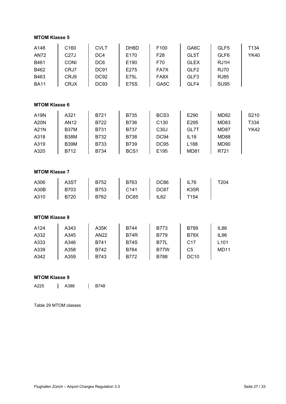| <b>MTOM Klasse 5</b>                                       |                                                                          |                                                                                    |                                                                                             |                                                                            |                                                                                |                                                                          |                             |
|------------------------------------------------------------|--------------------------------------------------------------------------|------------------------------------------------------------------------------------|---------------------------------------------------------------------------------------------|----------------------------------------------------------------------------|--------------------------------------------------------------------------------|--------------------------------------------------------------------------|-----------------------------|
| A148<br><b>AN72</b><br>B461<br>B462<br>B463<br><b>BA11</b> | C160<br><b>C27J</b><br><b>CONI</b><br>CRJ7<br>CRJ9<br><b>CRJX</b>        | <b>CVLT</b><br>DC4<br>DC <sub>6</sub><br><b>DC91</b><br><b>DC92</b><br><b>DC93</b> | DH8D<br>E170<br>E190<br>E275<br>E75L<br><b>E75S</b>                                         | F100<br>F <sub>28</sub><br>F70<br>FA7X<br>FA8X<br>GA5C                     | GA6C<br>GL5T<br><b>GLEX</b><br>GLF <sub>2</sub><br>GLF3<br>GLF4                | GLF5<br>GLF6<br>RJ1H<br><b>RJ70</b><br><b>RJ85</b><br><b>SU95</b>        | T134<br><b>YK40</b>         |
| <b>MTOM Klasse 6</b>                                       |                                                                          |                                                                                    |                                                                                             |                                                                            |                                                                                |                                                                          |                             |
| A19N<br><b>A20N</b><br>A21N<br>A318<br>A319<br>A320        | A321<br><b>AN12</b><br><b>B37M</b><br><b>B38M</b><br><b>B39M</b><br>B712 | B721<br>B722<br>B731<br>B732<br><b>B733</b><br><b>B734</b>                         | <b>B735</b><br><b>B736</b><br><b>B737</b><br><b>B738</b><br><b>B739</b><br>BCS <sub>1</sub> | BCS <sub>3</sub><br>C130<br>C <sub>30</sub><br>DC94<br><b>DC95</b><br>E195 | E290<br>E295<br>GL7T<br><b>IL18</b><br>L188<br><b>MD81</b>                     | <b>MD82</b><br><b>MD83</b><br>MD87<br><b>MD88</b><br><b>MD90</b><br>R721 | S210<br>T334<br><b>YK42</b> |
| <b>MTOM Klasse 7</b>                                       |                                                                          |                                                                                    |                                                                                             |                                                                            |                                                                                |                                                                          |                             |
| A306<br>A30B<br>A310                                       | A3ST<br>B703<br><b>B720</b>                                              | B752<br>B753<br>B762                                                               | B763<br>C141<br><b>DC85</b>                                                                 | <b>DC86</b><br>DC87<br>IL <sub>62</sub>                                    | IL76<br><b>K35R</b><br>T154                                                    | T204                                                                     |                             |
| <b>MTOM Klasse 8</b>                                       |                                                                          |                                                                                    |                                                                                             |                                                                            |                                                                                |                                                                          |                             |
| A124<br>A332<br>A333<br>A339<br>A342                       | A343<br>A345<br>A346<br>A358<br>A359                                     | A35K<br><b>AN22</b><br>B741<br>B742<br>B743                                        | B744<br><b>B74R</b><br><b>B74S</b><br><b>B764</b><br>B772                                   | <b>B773</b><br><b>B779</b><br><b>B77L</b><br>B77W<br><b>B788</b>           | <b>B789</b><br><b>B78X</b><br>C <sub>17</sub><br>C <sub>5</sub><br><b>DC10</b> | IL86<br>IL96<br>L101<br><b>MD11</b>                                      |                             |

### **MTOM Klasse 9**

A225 | A388 | B748

Table 29 MTOM classes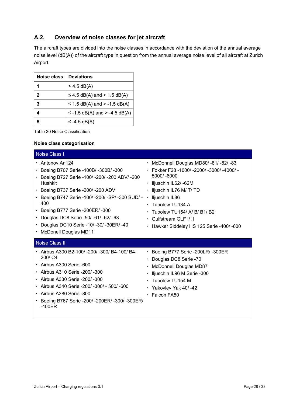### <span id="page-27-0"></span>**A.2. Overview of noise classes for jet aircraft**

The aircraft types are divided into the noise classes in accordance with the deviation of the annual average noise level (dB(A)) of the aircraft type in question from the annual average noise level of all aircraft at Zurich Airport.

| <b>Noise class</b> | <b>Deviations</b>                |
|--------------------|----------------------------------|
| 1                  | $>$ 4.5 dB(A)                    |
| 2                  | $\leq$ 4.5 dB(A) and > 1.5 dB(A) |
| 3                  | ≤ 1.5 dB(A) and > -1.5 dB(A)     |
|                    | ≤ -1.5 dB(A) and > -4.5 dB(A)    |
|                    | $\le$ -4.5 dB(A)                 |

<span id="page-27-1"></span>Table 30 Noise Classification

#### **Noise class categorisation**

| Noise Class I                                                                                                                                                                                                                                                                                                                                                                         |                                                                                                                                                                                                                                                                                                               |  |  |  |
|---------------------------------------------------------------------------------------------------------------------------------------------------------------------------------------------------------------------------------------------------------------------------------------------------------------------------------------------------------------------------------------|---------------------------------------------------------------------------------------------------------------------------------------------------------------------------------------------------------------------------------------------------------------------------------------------------------------|--|--|--|
| $\cdot$ Antonov An124<br>• Boeing B707 Serie -100B/ -300B/ -300<br>Boeing B727 Serie -100/ -200/ -200 ADV/ -200<br><b>Hushkit</b><br>• Boeing B737 Serie -200/-200 ADV<br>• Boeing B747 Serie -100/ -200/ -SP/ -300 SUD/ -<br>400<br>• Boeing B777 Serie -200ER/ -300<br>· Douglas DC8 Serie -50/ -61/ -62/ -63<br>Douglas DC10 Serie -10/ -30/ -30ER/ -40<br>• McDonell Douglas MD11 | • McDonnell Douglas MD80/-81/-82/-83<br>· Fokker F28 -1000/ -2000/ -3000/ -4000/ -<br>5000/-6000<br>• Iljuschin IL62/-62M<br>· Iljuschin IL76 M/ T/ TD<br>· Iljuschin IL86<br>• Tupolew TU134 A<br>· Tupolew TU154/ A/ B/ B1/ B2<br>$\cdot$ Gulfstream GLF I/ II<br>• Hawker Siddeley HS 125 Serie -400/ -600 |  |  |  |
| <b>Noise Class II</b>                                                                                                                                                                                                                                                                                                                                                                 |                                                                                                                                                                                                                                                                                                               |  |  |  |
| • Airbus A300 B2-100/-200/-300/ B4-100/ B4-<br>200/ C4<br>$\cdot$ Airbus A300 Serie -600<br>• Airbus A310 Serie -200/ -300<br>· Airbus A330 Serie -200/ -300<br>• Airbus A340 Serie -200/ -300/ - 500/ -600<br>· Airbus A380 Serie -800<br>• Boeing B767 Serie -200/ -200ER/ -300/ -300ER/<br>$-400ER$                                                                                | · Boeing B777 Serie -200LR/ -300ER<br>• Douglas DC8 Serie -70<br>• McDonnell Douglas MD87<br>• Iljuschin IL96 M Serie -300<br>• Tupolew TU154 M<br>$\cdot$ Yakovlev Yak 40/-42<br>$\cdot$ Falcon FA50                                                                                                         |  |  |  |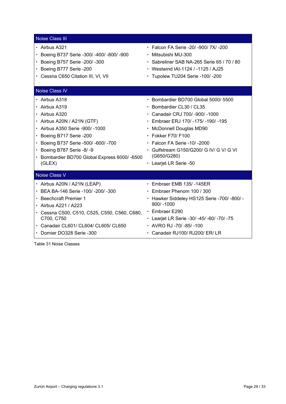| <b>Noise Class III</b>                       |                                             |
|----------------------------------------------|---------------------------------------------|
| $\cdot$ Airbus A321                          | • Falcon FA Serie -20/ -900/ 7X/ -200       |
| • Boeing B737 Serie -300/ -400/ -800/ -900   | ▪ Mitsubishi MU-300                         |
| Boeing B757 Serie -200/ -300                 | · Sabreliner SAB NA-265 Serie 65 / 70 / 80  |
| • Boeing B777 Serie -200                     | • Westwind IAI-1124 / -1125 / AJ25          |
| • Cessna C650 Citation III, VI, VII          | $\cdot$ Tupolew TU204 Serie -100/ -200      |
| <b>Noise Class IV</b>                        |                                             |
| • Airbus A318                                | • Bombardier BD700 Global 5000/ 5500        |
| $\cdot$ Airbus A319                          | • Bombardier CL30 / CL35                    |
| · Airbus A320                                | • Canadair CRJ 700/-900/-1000               |
| · Airbus A20N / A21N (GTF)                   | • Embraer ERJ 170/-175/-190/-195            |
| • Airbus A350 Serie -900/-1000               | • McDonnell Douglas MD90                    |
| · Boeing B717 Serie -200                     | $\cdot$ Fokker F70/F100                     |
| Boeing B737 Serie -500/ -600/ -700           | $\cdot$ Falcon FA Serie -10/-2000           |
| • Boeing B787 Serie -8/-9                    | • Gulfstream G150/G200/ G IV/ G V/ G VI     |
| · Bombardier BD700 Global Express 6000/-6500 | (G650/G280)                                 |
| (GLEX)                                       | • Learjet LR Serie -50                      |
| Noise Class V                                |                                             |
| · Airbus A20N / A21N (LEAP)                  | $\cdot$ Embraer EMB 135/-145ER              |
| • BEA BA-146 Serie -100/-200/-300            | $\cdot$ Embraer Phenom 100 / 300            |
| • Beechcraft Premier 1                       | · Hawker Siddeley HS125 Serie -700/ -800/ - |
| · Airbus A221 / A223                         | $900/ -1000$                                |
| Cessna C500, C510, C525, C550, C560, C680,   | $\cdot$ Embraer E290                        |
| C700, C750                                   | • Learjet LR Serie -30/ -45/ -60/ -70/ -75  |
| · Canadair CL601/ CL604/ CL605/ CL650        | $\cdot$ AVRO RJ -70/ -85/ -100              |
| • Dornier DO328 Serie -300                   | • Canadair RJ100/ RJ200/ ER/ LR             |

<span id="page-28-0"></span>Table 31 Noise Classes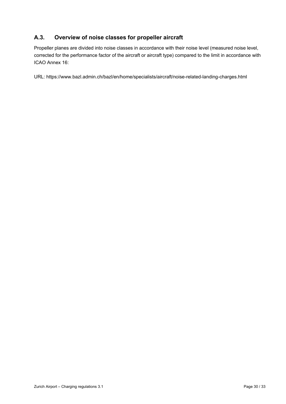### <span id="page-29-0"></span>**A.3. Overview of noise classes for propeller aircraft**

Propeller planes are divided into noise classes in accordance with their noise level (measured noise level, corrected for the performance factor of the aircraft or aircraft type) compared to the limit in accordance with ICAO Annex 16:

URL:<https://www.bazl.admin.ch/bazl/en/home/specialists/aircraft/noise-related-landing-charges.html>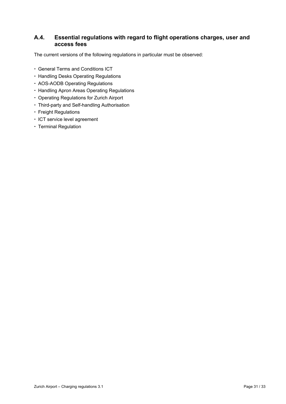### <span id="page-30-0"></span>**A.4. Essential regulations with regard to flight operations charges, user and access fees**

The current versions of the following regulations in particular must be observed:

- General Terms and Conditions ICT
- Handling Desks Operating Regulations
- AOS-AODB Operating Regulations
- Handling Apron Areas Operating Regulations
- Operating Regulations for Zurich Airport
- Third-party and Self-handling Authorisation
- Freight Regulations
- ICT service level agreement
- Terminal Regulation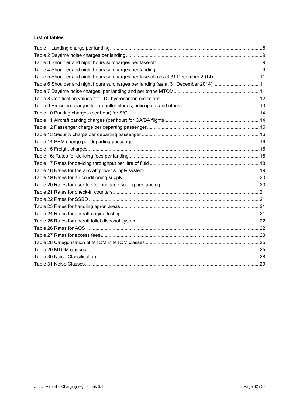### **List of tables**

| Table 5 Shoulder and night hours surcharges per take-off (as at 31 December 2014)11 |  |
|-------------------------------------------------------------------------------------|--|
| Table 6 Shoulder and night hours surcharges per landing (as at 31 December 2014) 11 |  |
|                                                                                     |  |
|                                                                                     |  |
|                                                                                     |  |
|                                                                                     |  |
|                                                                                     |  |
|                                                                                     |  |
|                                                                                     |  |
|                                                                                     |  |
|                                                                                     |  |
|                                                                                     |  |
|                                                                                     |  |
|                                                                                     |  |
|                                                                                     |  |
|                                                                                     |  |
|                                                                                     |  |
|                                                                                     |  |
|                                                                                     |  |
|                                                                                     |  |
|                                                                                     |  |
|                                                                                     |  |
|                                                                                     |  |
|                                                                                     |  |
|                                                                                     |  |
|                                                                                     |  |
|                                                                                     |  |
|                                                                                     |  |